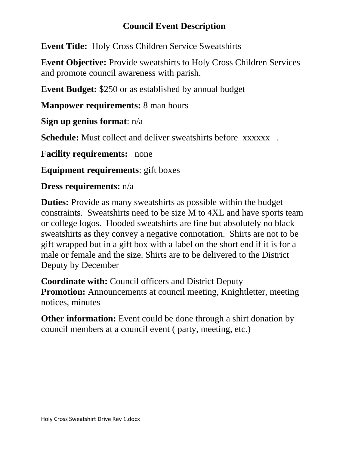## **Council Event Description**

**Event Title:** Holy Cross Children Service Sweatshirts

**Event Objective:** Provide sweatshirts to Holy Cross Children Services and promote council awareness with parish.

**Event Budget:** \$250 or as established by annual budget

**Manpower requirements:** 8 man hours

**Sign up genius format**: n/a

**Schedule:** Must collect and deliver sweatshirts before xxxxxx.

**Facility requirements:** none

**Equipment requirements**: gift boxes

## **Dress requirements:** n/a

**Duties:** Provide as many sweatshirts as possible within the budget constraints. Sweatshirts need to be size M to 4XL and have sports team or college logos. Hooded sweatshirts are fine but absolutely no black sweatshirts as they convey a negative connotation. Shirts are not to be gift wrapped but in a gift box with a label on the short end if it is for a male or female and the size. Shirts are to be delivered to the District Deputy by December

**Coordinate with:** Council officers and District Deputy **Promotion:** Announcements at council meeting, Knightletter, meeting notices, minutes

**Other information:** Event could be done through a shirt donation by council members at a council event ( party, meeting, etc.)